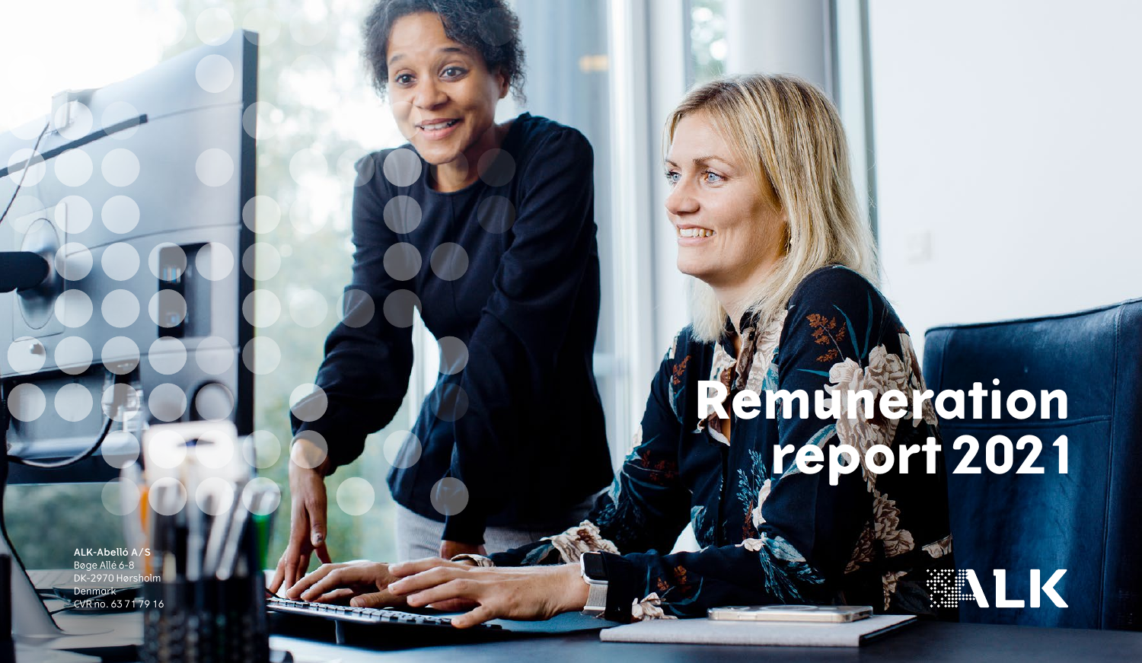# **Remuneration report 2021**

**ALK-Abelló A/S** Bøge Allé 6-8 DK-2970 Hørsholm Denmark CVR no. 63 71 79 16

**The Control** 

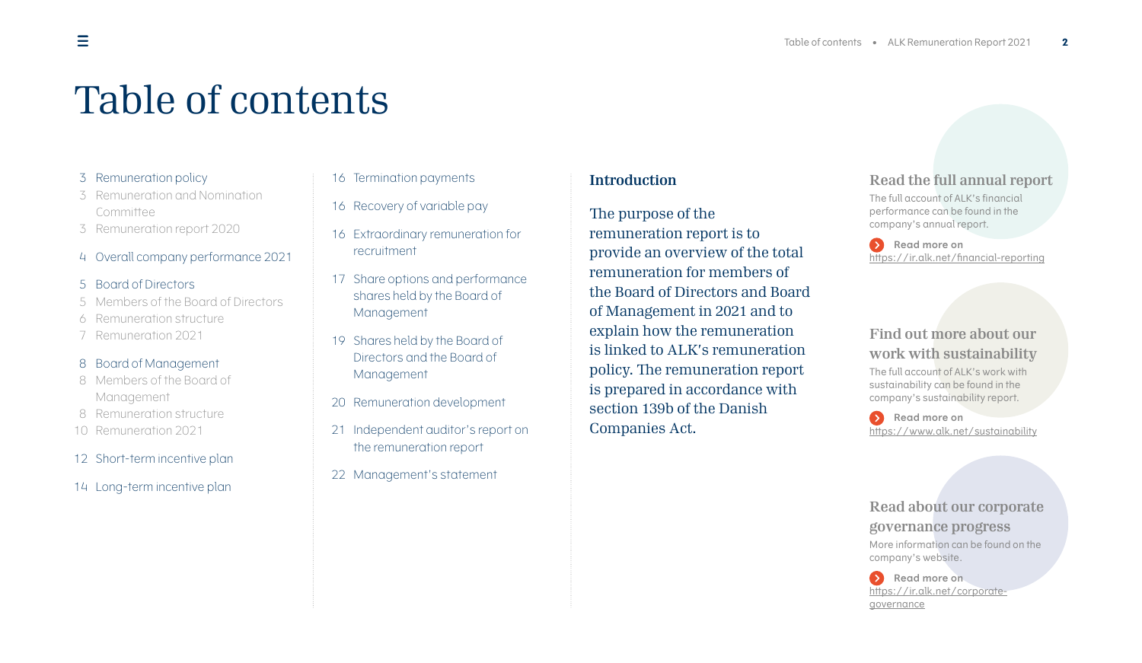# Table of contents

### 3 [Remuneration policy](#page-2-0)

- 3 [Remuneration and Nomination](#page-2-1)  [Committee](#page-2-1)
- 3 [Remuneration report 2020](#page-2-2)
- 4 [Overall company performance 2021](#page-3-0)

### 5 [Board of Directors](#page-4-0)

- 5 [Members of the Board of Directors](#page-4-1)
- 6 [Remuneration structure](#page-5-0)
- 7 [Remuneration 2021](#page-6-0)

### 8 [Board of Management](#page-7-0)

- 8 [Members of the Board of](#page-7-1)  [Management](#page-7-1)
- 8 [Remuneration structure](#page-7-2)
- 10 [Remuneration 2021](#page-9-0)
- 12 [Short-term incentive plan](#page-11-0)
- 14 [Long-term incentive plan](#page-13-0)
- 16 [Termination payments](#page-15-0)
- 16 [Recovery of variable pay](#page-15-1)
- 16 [Extraordinary remuneration for](#page-15-2)  [recruitment](#page-15-2)
- 17 [Share options and performance](#page-16-0)  [shares held by the Board of](#page-16-0)  [Management](#page-16-0)
- 19 [Shares held by the Board of](#page-18-0)  [Directors and the Board of](#page-18-0)  [Management](#page-18-0)
- 20 [Remuneration development](#page-19-0)
- 21 [Independent auditor's report on](#page-20-0)  the [remuneration report](#page-20-0)
- 22 [Management's statement](#page-21-0)

### **Introduction**

The purpose of the remuneration report is to provide an overview of the total remuneration for members of the Board of Directors and Board of Management in 2021 and to explain how the remuneration is linked to ALK's remuneration policy. The remuneration report is prepared in accordance with section 139b of the Danish Companies Act.

### **Read the full annual report**

The full account of ALK's financial performance can be found in the company's annual report.

**Read more on** https://ir.alk.net/financial-reporting

### **Find out more about our work with sustainability**

The full account of ALK's work with sustainability can be found in the company's sustainability report.

**Read more on** <https://www.alk.net/sustainability>

**Read about our corporate governance progress**  More information can be found on the company's website.

**Read more on** [https://ir.alk.net/corporate](https://ir.alk.net/corporate-governance)[governance](https://ir.alk.net/corporate-governance)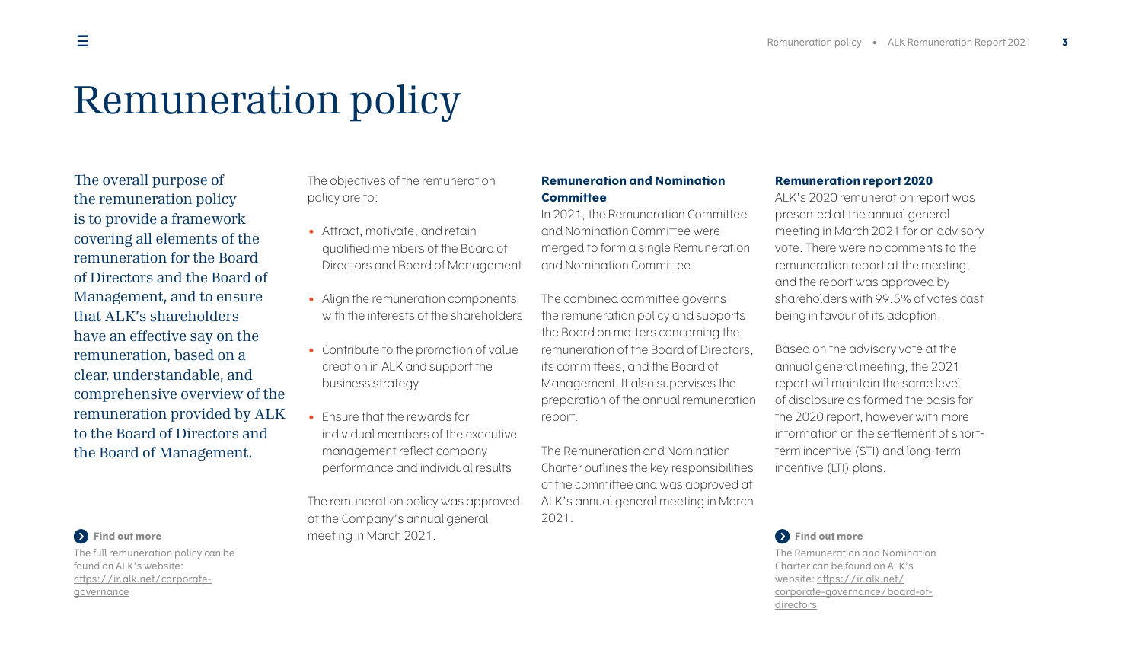# Remuneration policy

The overall purpose of the remuneration policy is to provide a framework covering all elements of the remuneration for the Board of Directors and the Board of Management, and to ensure that ALK's shareholders have an effective say on the remuneration, based on a clear, understandable, and comprehensive overview of the remuneration provided by ALK to the Board of Directors and the Board of Management.

<span id="page-2-0"></span>The objectives of the remuneration policy are to:

- Attract, motivate, and retain qualified members of the Board of Directors and Board of Management
- Align the remuneration components with the interests of the shareholders
- Contribute to the promotion of value creation in ALK and support the business strategy
- Ensure that the rewards for individual members of the executive management reflect company performance and individual results

The remuneration policy was approved at the Company's annual general meeting in March 2021.

### <span id="page-2-1"></span>**Remuneration and Nomination Committee**

In 2021, the Remuneration Committee and Nomination Committee were merged to form a single Remuneration and Nomination Committee.

The combined committee governs the remuneration policy and supports the Board on matters concerning the remuneration of the Board of Directors, its committees, and the Board of Management. It also supervises the preparation of the annual remuneration report.

The Remuneration and Nomination Charter outlines the key responsibilities of the committee and was approved at ALK's annual general meeting in March 2021.

#### <span id="page-2-2"></span>**Remuneration report 2020**

ALK's 2020 remuneration report was presented at the annual general meeting in March 2021 for an advisory vote. There were no comments to the remuneration report at the meeting, and the report was approved by shareholders with 99.5% of votes cast being in favour of its adoption.

Based on the advisory vote at the annual general meeting, the 2021 report will maintain the same level of disclosure as formed the basis for the 2020 report, however with more information on the settlement of shortterm incentive (STI) and long-term incentive (LTI) plans.

### **Find out more**

The Remuneration and Nomination Charter can be found on ALK's website: [https://ir.alk.net/](https://ir.alk.net/corporate-governance/board-of-directors) [corporate-governance/board-of](https://ir.alk.net/corporate-governance/board-of-directors)[directors](https://ir.alk.net/corporate-governance/board-of-directors)

### **Find out more**

The full remuneration policy can be found on ALK's website: [https://ir.alk.net/corporate](https://ir.alk.net/corporate-governance)[governance](https://ir.alk.net/corporate-governance)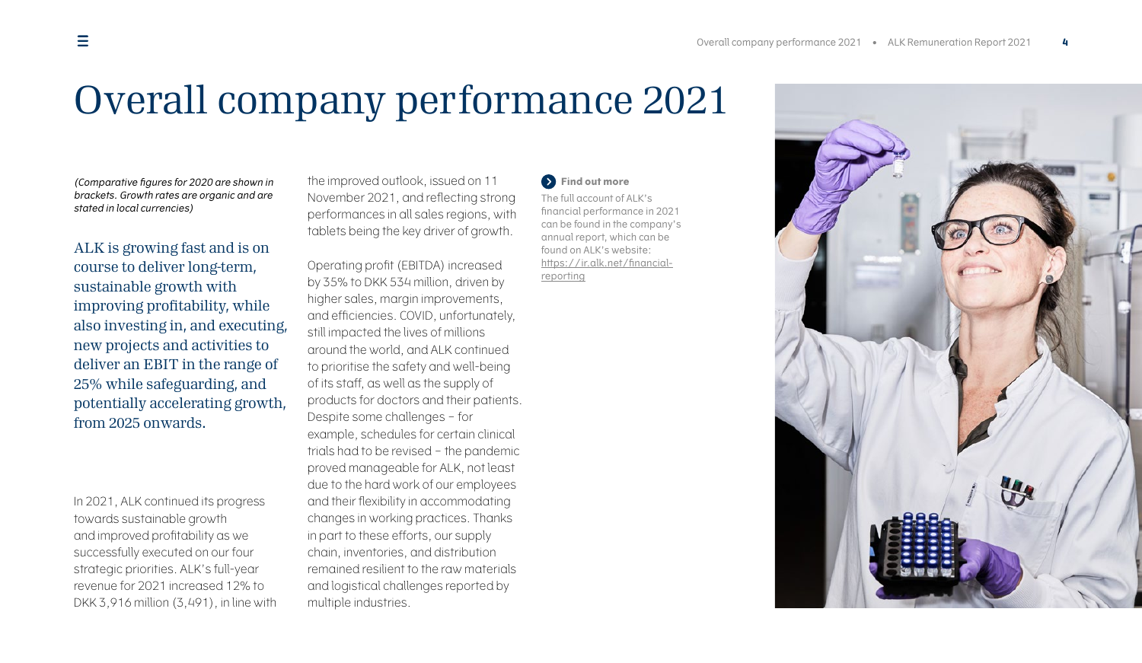## Overall company performance 2021

(Comparative figures for 2020 are shown in brackets. Growth rates are organic and are stated in local currencies)

ALK is growing fast and is on course to deliver long-term, sustainable growth with improving profitability, while also investing in, and executing, new projects and activities to deliver an EBIT in the range of 25% while safeguarding, and potentially accelerating growth, from 2025 onwards.

In 2021, ALK continued its progress towards sustainable growth and improved profitability as we successfully executed on our four strategic priorities. ALK's full-year revenue for 2021 increased 12% to DKK 3,916 million (3,491), in line with <span id="page-3-0"></span>the improved outlook, issued on 11 November 2021, and reflecting strong performances in all sales regions, with tablets being the key driver of growth.

Operating profit (EBITDA) increased by 35% to DKK 534 million, driven by higher sales, margin improvements, and efficiencies. COVID, unfortunately, still impacted the lives of millions around the world, and ALK continued to prioritise the safety and well-being of its staff, as well as the supply of products for doctors and their patients. Despite some challenges – for example, schedules for certain clinical trials had to be revised – the pandemic proved manageable for ALK, not least due to the hard work of our employees and their flexibility in accommodating changes in working practices. Thanks in part to these efforts, our supply chain, inventories, and distribution remained resilient to the raw materials and logistical challenges reported by multiple industries.

### **Find out more**

The full account of ALK's financial performance in 2021 can be found in the company's annual report, which can be found on ALK's website: https://ir.alk.net/financialreporting

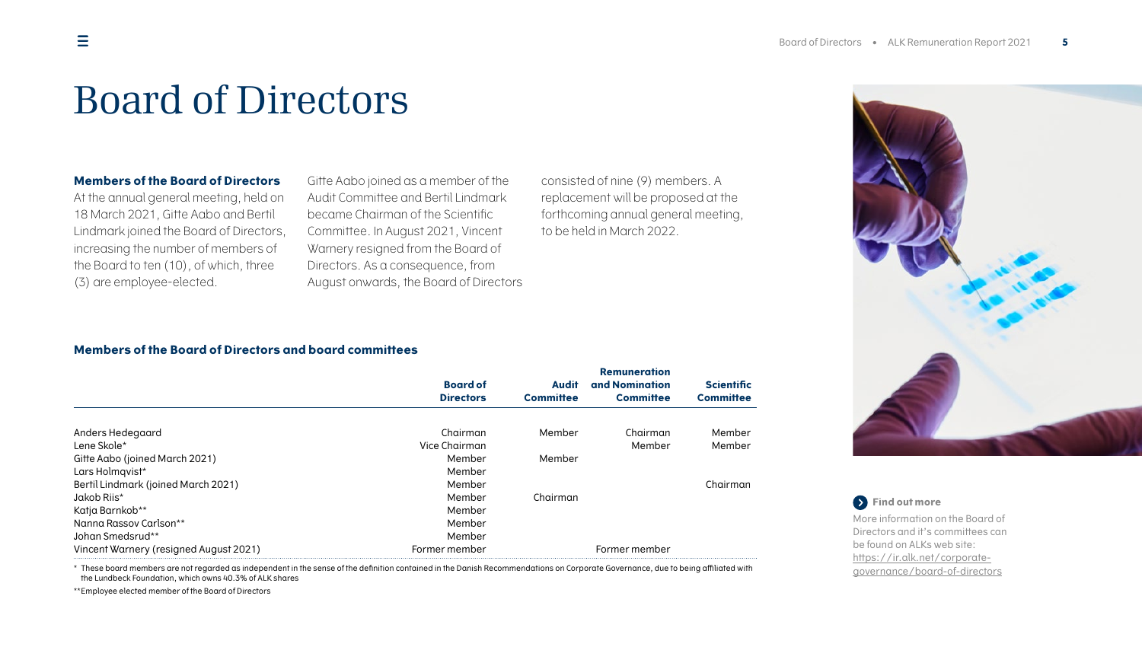### Board of Directors

#### **Members of the Board of Directors**

At the annual general meeting, held on 18 March 2021, Gitte Aabo and Bertil Lindmark joined the Board of Directors, increasing the number of members of the Board to ten (10), of which, three (3) are employee-elected.

<span id="page-4-0"></span>Gitte Aabo joined as a member of the Audit Committee and Bertil Lindmark became Chairman of the Scientific Committee. In August 2021, Vincent Warnery resigned from the Board of Directors. As a consequence, from August onwards, the Board of Directors <span id="page-4-1"></span>consisted of nine (9) members. A replacement will be proposed at the forthcoming annual general meeting, to be held in March 2022.

### **Members of the Board of Directors and board committees**

|                                        | <b>Board of</b>  | <b>Audit</b>     | <b>Remuneration</b><br>and Nomination | <b>Scientific</b> |
|----------------------------------------|------------------|------------------|---------------------------------------|-------------------|
|                                        | <b>Directors</b> | <b>Committee</b> | <b>Committee</b>                      | <b>Committee</b>  |
| Anders Hedegaard                       | Chairman         | Member           | Chairman                              | Member            |
| Lene Skole*                            | Vice Chairman    |                  | Member                                | Member            |
| Gitte Aabo (joined March 2021)         | Member           | Member           |                                       |                   |
| Lars Holmqvist*                        | Member           |                  |                                       |                   |
| Bertil Lindmark (joined March 2021)    | Member           |                  |                                       | Chairman          |
| Jakob Riis*                            | Member           | Chairman         |                                       |                   |
| Katja Barnkob**                        | Member           |                  |                                       |                   |
| Nanna Rassov Carlson**                 | Member           |                  |                                       |                   |
| Johan Smedsrud**                       | Member           |                  |                                       |                   |
| Vincent Warnery (resigned August 2021) | Former member    |                  | Former member                         |                   |



**Find out more** More information on the Board of Directors and it's committees can be found on ALKs web site: [https://ir.alk.net/corporate](https://ir.alk.net/corporate-governance/board-of-directors)[governance/board-of-directors](https://ir.alk.net/corporate-governance/board-of-directors)

\* These board members are not regarded as independent in the sense of the definition contained in the Danish Recommendations on Corporate Governance, due to being affiliated with the Lundbeck Foundation, which owns 40.3% of ALK shares

\*\* Employee elected member of the Board of Directors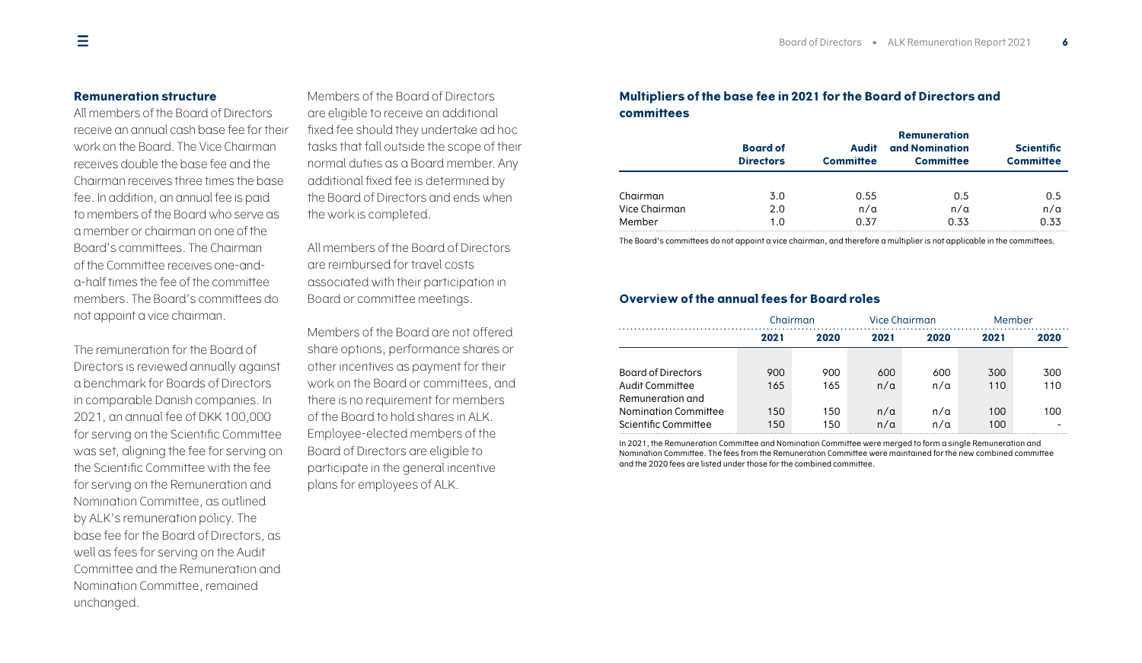### **Remuneration structure**

All members of the Board of Directors receive an annual cash base fee for their work on the Board. The Vice Chairman receives double the base fee and the Chairman receives three times the base fee. In addition, an annual fee is paid to members of the Board who serve as a member or chairman on one of the Board's committees. The Chairman of the Committee receives one-anda-half times the fee of the committee members. The Board's committees do not appoint a vice chairman.

The remuneration for the Board of Directors is reviewed annually against a benchmark for Boards of Directors in comparable Danish companies. In 2021, an annual fee of DKK 100,000 for serving on the Scientific Committee was set, aligning the fee for serving on the Scientific Committee with the fee for serving on the Remuneration and Nomination Committee, as outlined by ALK's remuneration policy. The base fee for the Board of Directors, as well as fees for serving on the Audit Committee and the Remuneration and Nomination Committee, remained unchanged.

<span id="page-5-0"></span>Members of the Board of Directors are eligible to receive an additional fixed fee should they undertake ad hoc tasks that fall outside the scope of their normal duties as a Board member. Any additional fixed fee is determined by the Board of Directors and ends when the work is completed.

All members of the Board of Directors are reimbursed for travel costs associated with their participation in Board or committee meetings.

Members of the Board are not offered share options, performance shares or other incentives as payment for their work on the Board or committees, and there is no requirement for members of the Board to hold shares in ALK. Employee-elected members of the Board of Directors are eligible to participate in the general incentive plans for employees of ALK.

### **Multipliers of the base fee in 2021 for the Board of Directors and committees**

|               | <b>Board of</b><br><b>Audit</b><br><b>Directors</b><br><b>Committee</b> |            | <b>Remuneration</b><br>and Nomination<br><b>Scientific</b><br><b>Committee</b><br><b>Committee</b> |            |  |
|---------------|-------------------------------------------------------------------------|------------|----------------------------------------------------------------------------------------------------|------------|--|
| Chairman      | 3.0                                                                     | 0.55       | 0.5                                                                                                | 0.5        |  |
| Vice Chairman | 2.0                                                                     | $n/\alpha$ | $n/\alpha$                                                                                         | $n/\alpha$ |  |
| Member        | 1.0                                                                     | 0.37       | 0.33                                                                                               | 0.33       |  |

The Board's committees do not appoint a vice chairman, and therefore a multiplier is not applicable in the committees.

### **Overview of the annual fees for Board roles**

|                           | Chairman |      | Vice Chairman |              | Member |      |
|---------------------------|----------|------|---------------|--------------|--------|------|
|                           | 2021     | 2020 |               | 2021<br>2020 |        | 2020 |
|                           |          |      |               |              |        |      |
| <b>Board of Directors</b> | 900      | 900  | 600           | 600          | 300    | 300  |
| Audit Committee           | 165      | 165  | $n/\alpha$    | $n/\alpha$   | 110    | 110  |
| Remuneration and          |          |      |               |              |        |      |
| Nomination Committee      | 150      | 150  | $n/\alpha$    | $n/\alpha$   | 100    | 100  |
| Scientific Committee      | 150      | 150  | $n/\alpha$    | $n/\alpha$   | 100    |      |

In 2021, the Remuneration Committee and Nomination Committee were merged to form a single Remuneration and Nomination Committee. The fees from the Remuneration Committee were maintained for the new combined committee and the 2020 fees are listed under those for the combined committee.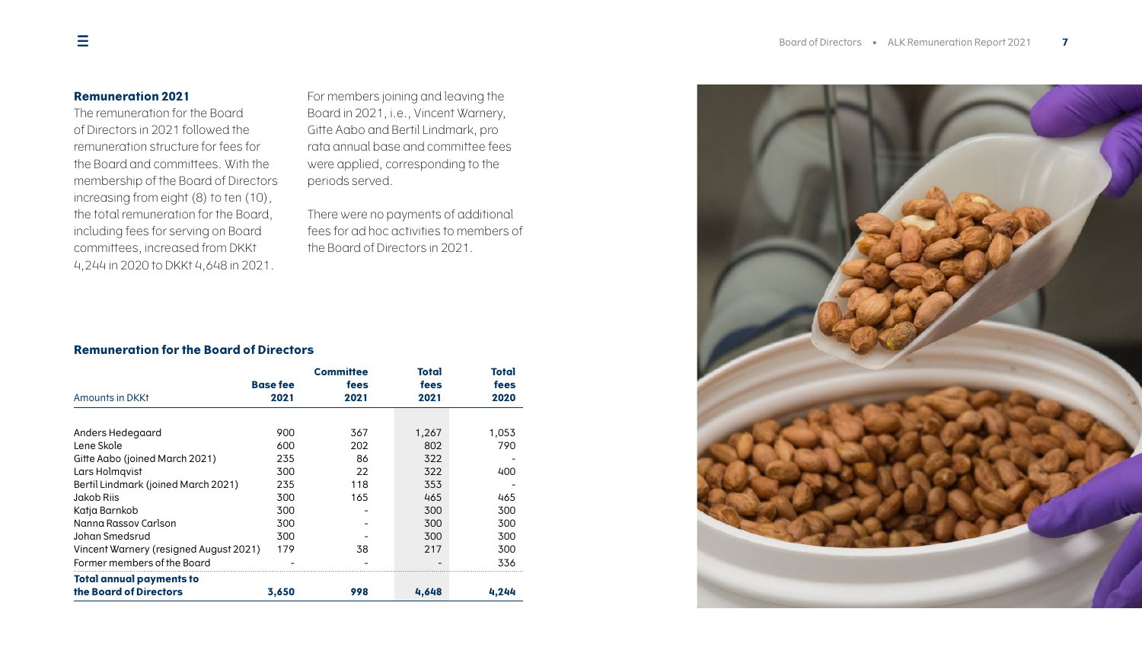### **Remuneration 2021**

The remuneration for the Board of Directors in 2021 followed the remuneration structure for fees for the Board and committees. With the membership of the Board of Directors increasing from eight (8) to ten (10), the total remuneration for the Board, including fees for serving on Board committees, increased from DKKt 4,244 in 2020 to DKKt 4,648 in 2021.

<span id="page-6-0"></span>For members joining and leaving the Board in 2021, i.e., Vincent Warnery, Gitte Aabo and Bertil Lindmark, pro rata annual base and committee fees were applied, corresponding to the periods served.

There were no payments of additional fees for ad hoc activities to members of the Board of Directors in 2021.

### **Remuneration for the Board of Directors**

| Amounts in DKKt                                           | <b>Base fee</b><br>2021 | <b>Committee</b><br>fees<br>2021 | Total<br>fees<br>2021 | Total<br>fees<br>2020 |
|-----------------------------------------------------------|-------------------------|----------------------------------|-----------------------|-----------------------|
|                                                           |                         |                                  |                       |                       |
| Anders Hedegaard                                          | 900                     | 367                              | 1,267                 | 1,053                 |
| Lene Skole                                                | 600                     | 202                              | 802                   | 790                   |
| Gitte Aabo (joined March 2021)                            | 235                     | 86                               | 322                   |                       |
| Lars Holmqvist                                            | 300                     | 22                               | 322                   | 400                   |
| Bertil Lindmark (joined March 2021)                       | 235                     | 118                              | 353                   |                       |
| Jakob Riis                                                | 300                     | 165                              | 465                   | 465                   |
| Katja Barnkob                                             | 300                     |                                  | 300                   | 300                   |
| Nanna Rassov Carlson                                      | 300                     |                                  | 300                   | 300                   |
| Johan Smedsrud                                            | 300                     |                                  | 300                   | 300                   |
| Vincent Warnery (resigned August 2021)                    | 179                     | 38                               | 217                   | 300                   |
| Former members of the Board                               |                         |                                  |                       | 336                   |
| <b>Total annual payments to</b><br>the Board of Directors | 3,650                   | 998                              | 4,648                 | 4,244                 |

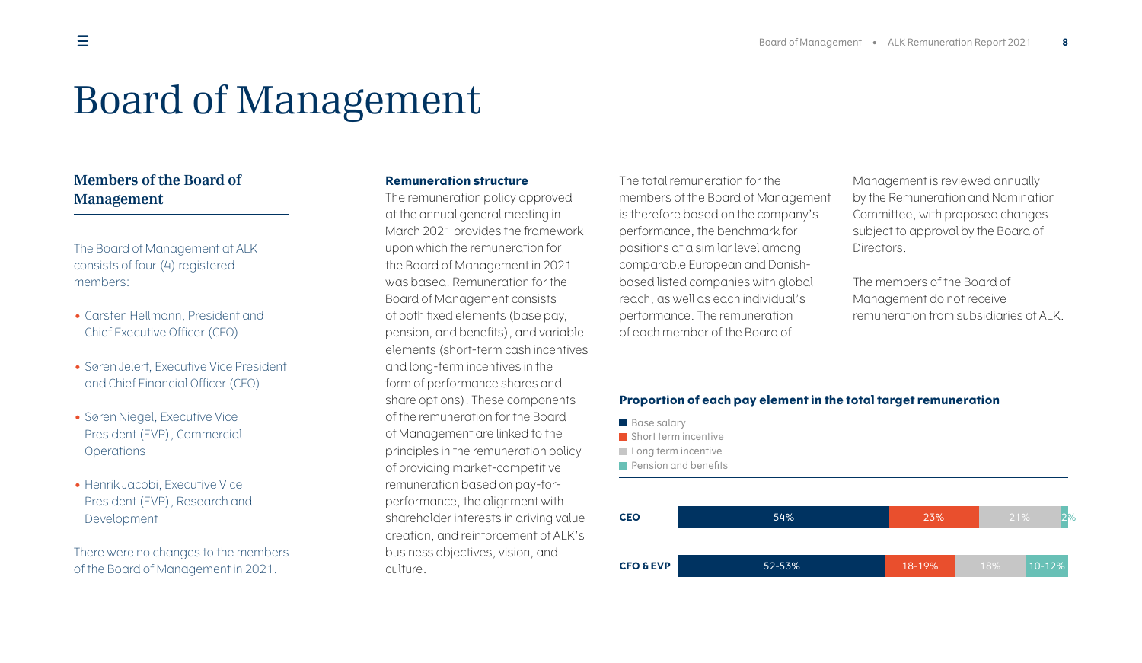# <span id="page-7-0"></span>Board of Management

### **Members of the Board of Management**

The Board of Management at ALK consists of four (4) registered members:

- Carsten Hellmann, President and Chief Executive Officer (CEO)
- Søren Jelert, Executive Vice President and Chief Financial Officer (CFO)
- Søren Niegel, Executive Vice President (EVP), Commercial **Operations**
- Henrik Jacobi, Executive Vice President (EVP), Research and Development

There were no changes to the members of the Board of Management in 2021.

#### <span id="page-7-1"></span>**Remuneration structure**

The remuneration policy approved at the annual general meeting in March 2021 provides the framework upon which the remuneration for the Board of Management in 2021 was based. Remuneration for the Board of Management consists of both fixed elements (base pay, pension, and benefits), and variable elements (short-term cash incentives and long-term incentives in the form of performance shares and share options). These components of the remuneration for the Board of Management are linked to the principles in the remuneration policy of providing market-competitive remuneration based on pay-forperformance, the alignment with shareholder interests in driving value creation, and reinforcement of ALK's business objectives, vision, and culture.

The total remuneration for the members of the Board of Management is therefore based on the company's performance, the benchmark for positions at a similar level among comparable European and Danishbased listed companies with global reach, as well as each individual's performance. The remuneration of each member of the Board of

<span id="page-7-2"></span>Management is reviewed annually by the Remuneration and Nomination Committee, with proposed changes subject to approval by the Board of Directors.

The members of the Board of Management do not receive remuneration from subsidiaries of ALK.

### **Proportion of each pay element in the total target remuneration**

- Base salary
- Short term incentive
- Long term incentive
- **Pension and benefits**

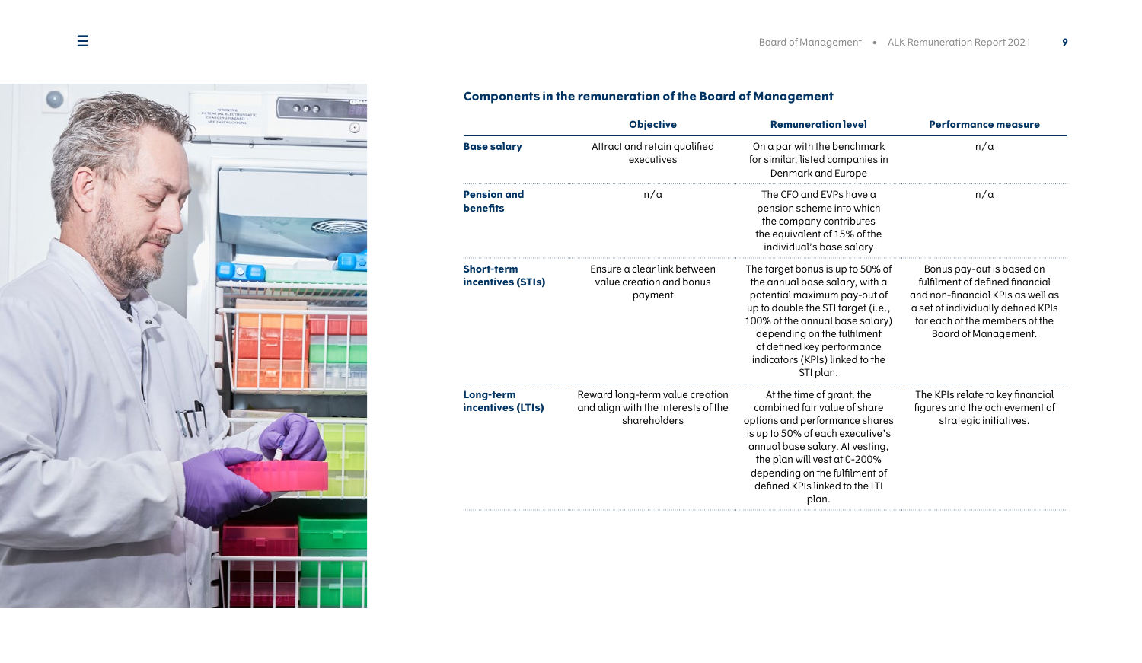

### **Components in the remuneration of the Board of Management**

|                                        | <b>Objective</b>                                                                       | <b>Remuneration level</b>                                                                                                                                                                                                                                                                | <b>Performance measure</b>                                                                                                                                                                        |
|----------------------------------------|----------------------------------------------------------------------------------------|------------------------------------------------------------------------------------------------------------------------------------------------------------------------------------------------------------------------------------------------------------------------------------------|---------------------------------------------------------------------------------------------------------------------------------------------------------------------------------------------------|
| <b>Base salary</b>                     | Attract and retain qualified<br>executives                                             | On a par with the benchmark<br>for similar, listed companies in<br>Denmark and Europe                                                                                                                                                                                                    | $n/\alpha$                                                                                                                                                                                        |
| <b>Pension and</b><br><b>benefits</b>  | n/a                                                                                    | The CFO and EVPs have a<br>pension scheme into which<br>the company contributes<br>the equivalent of 15% of the<br>individual's base salary                                                                                                                                              | $n/\alpha$                                                                                                                                                                                        |
| <b>Short-term</b><br>incentives (STIs) | Ensure a clear link between<br>value creation and bonus<br>payment                     | The target bonus is up to 50% of<br>the annual base salary, with a<br>potential maximum pay-out of<br>up to double the STI target (i.e.,<br>100% of the annual base salary)<br>depending on the fulfilment<br>of defined key performance<br>indicators (KPIs) linked to the<br>STI plan. | Bonus pay-out is based on<br>fulfilment of defined financial<br>and non-financial KPIs as well as<br>a set of individually defined KPIs<br>for each of the members of the<br>Board of Management. |
| Long-term<br>incentives (LTIs)         | Reward long-term value creation<br>and align with the interests of the<br>shareholders | At the time of grant, the<br>combined fair value of share<br>options and performance shares<br>is up to 50% of each executive's<br>annual base salary. At vesting,<br>the plan will vest at 0-200%<br>depending on the fulfilment of<br>defined KPIs linked to the LTI<br>plan.          | The KPIs relate to key financial<br>figures and the achievement of<br>strategic initiatives.                                                                                                      |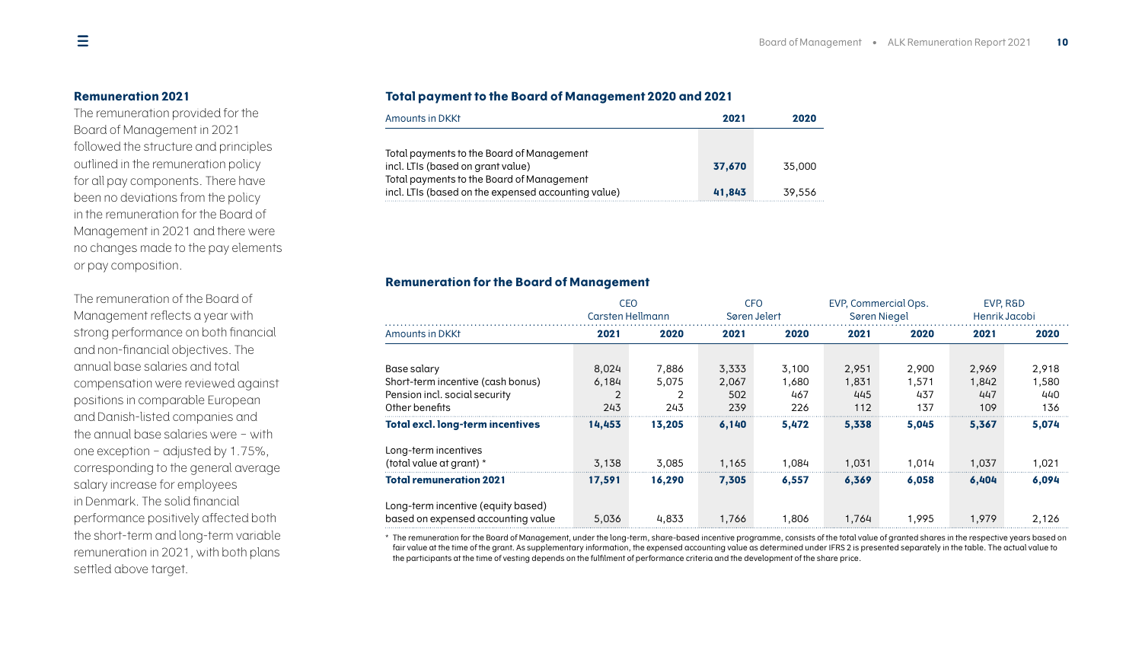#### **Remuneration 2021**

The remuneration provided for the Board of Management in 2021 followed the structure and principles outlined in the remuneration policy for all pay components. There have been no deviations from the policy in the remuneration for the Board of Management in 2021 and there were no changes made to the pay elements or pay composition.

The remuneration of the Board of Management reflects a year with strong performance on both financial and non-financial objectives. The annual base salaries and total compensation were reviewed against positions in comparable European and Danish-listed companies and the annual base salaries were – with one exception – adjusted by 1.75%, corresponding to the general average salary increase for employees in Denmark. The solid financial performance positively affected both the short-term and long-term variable remuneration in 2021, with both plans settled above target.

### <span id="page-9-0"></span>**Total payment to the Board of Management 2020 and 2021**

| Amounts in DKKt                                                                                  | 2021   | 2020   |
|--------------------------------------------------------------------------------------------------|--------|--------|
|                                                                                                  |        |        |
| Total payments to the Board of Management<br>incl. LTIs (based on grant value)                   | 37.670 | 35.000 |
| Total payments to the Board of Management<br>incl. LTIs (based on the expensed accounting value) | 41.843 | 39.556 |

#### **Remuneration for the Board of Management**

|                                         | <b>CEO</b> |                  |       | <b>CFO</b><br>Søren Jelert |       | EVP, Commercial Ops. | EVP. R&D<br>Henrik Jacobi |       |
|-----------------------------------------|------------|------------------|-------|----------------------------|-------|----------------------|---------------------------|-------|
|                                         |            | Carsten Hellmann |       |                            |       | <b>Søren Niegel</b>  |                           |       |
| Amounts in DKKt                         | 2021       | 2020             | 2021  | 2020                       | 2021  | 2020                 | 2021                      | 2020  |
|                                         |            |                  |       |                            |       |                      |                           |       |
| Base salary                             | 8,024      | 7,886            | 3,333 | 3,100                      | 2,951 | 2.900                | 2,969                     | 2,918 |
| Short-term incentive (cash bonus)       | 6,184      | 5,075            | 2,067 | 1,680                      | 1,831 | 1.571                | 1,842                     | 1,580 |
| Pension incl. social security           |            |                  | 502   | 467                        | 445   | 437                  | 447                       | 440   |
| Other benefits                          | 243        | 243              | 239   | 226                        | 112   | 137                  | 109                       | 136   |
| <b>Total excl. long-term incentives</b> | 14,453     | 13,205           | 6,140 | 5,472                      | 5,338 | 5,045                | 5,367                     | 5,074 |
| Long-term incentives                    |            |                  |       |                            |       |                      |                           |       |
| (total value at grant) *                | 3.138      | 3.085            | 1.165 | 1.084                      | 1.031 | 1.014                | 1.037                     | 1,021 |
| <b>Total remuneration 2021</b>          | 17,591     | 16.290           | 7,305 | 6.557                      | 6,369 | 6.058                | 6.404                     | 6,094 |
| Long-term incentive (equity based)      |            |                  |       |                            |       |                      |                           |       |
| based on expensed accounting value      | 5.036      | 4,833            | 1.766 | .806                       | 1.764 | .995                 | 1.979                     | 2,126 |

\* The remuneration for the Board of Management, under the long-term, share-based incentive programme, consists of the total value of granted shares in the respective years based on fair value at the time of the grant. As supplementary information, the expensed accounting value as determined under IFRS 2 is presented separately in the table. The actual value to the participants at the time of vesting depends on the fulfilment of performance criteria and the development of the share price.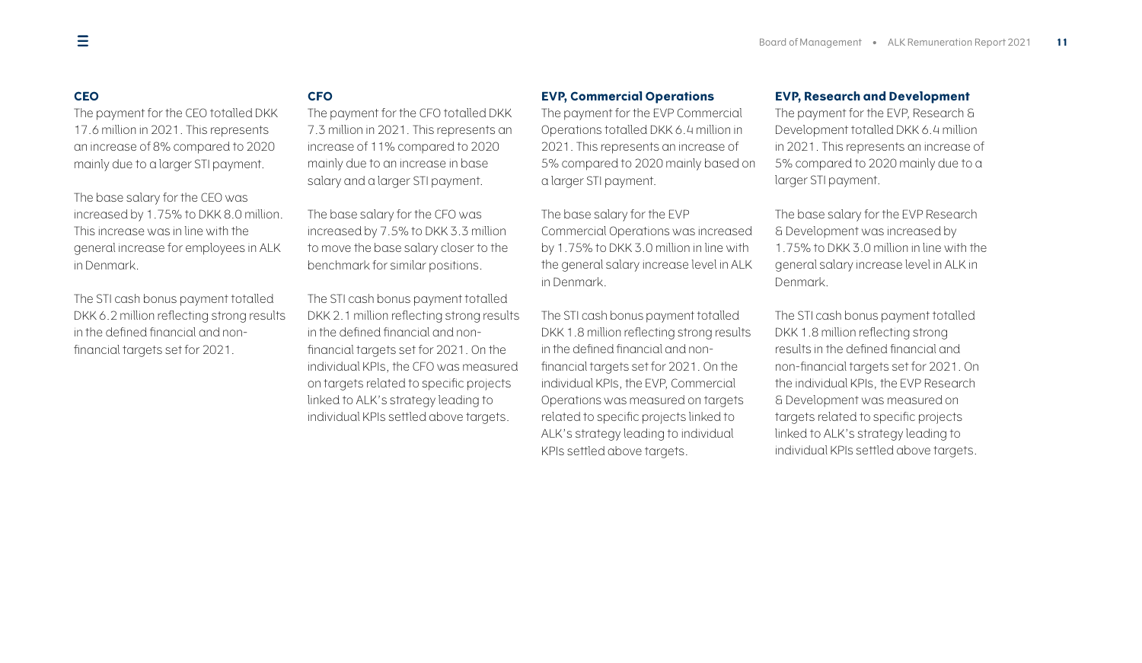### **CEO**

The payment for the CEO totalled DKK 17.6 million in 2021. This represents an increase of 8% compared to 2020 mainly due to a larger STI payment.

The base salary for the CEO was increased by 1.75% to DKK 8.0 million. This increase was in line with the general increase for employees in ALK in Denmark.

The STI cash bonus payment totalled DKK 6.2 million reflecting strong results in the defined financial and nonfinancial targets set for 2021.

### **CFO**

The payment for the CFO totalled DKK 7.3 million in 2021. This represents an increase of 11% compared to 2020 mainly due to an increase in base salary and a larger STI payment.

The base salary for the CFO was increased by 7.5% to DKK 3.3 million to move the base salary closer to the benchmark for similar positions.

The STI cash bonus payment totalled DKK 2.1 million reflecting strong results in the defined financial and nonfinancial targets set for 2021. On the individual KPIs, the CFO was measured on targets related to specific projects linked to ALK's strategy leading to individual KPIs settled above targets.

### **EVP, Commercial Operations**

The payment for the EVP Commercial Operations totalled DKK 6.4 million in 2021. This represents an increase of 5% compared to 2020 mainly based on a larger STI payment.

The base salary for the EVP Commercial Operations was increased by 1.75% to DKK 3.0 million in line with the general salary increase level in ALK in Denmark.

The STI cash bonus payment totalled DKK 1.8 million reflecting strong results in the defined financial and nonfinancial targets set for 2021. On the individual KPIs, the EVP, Commercial Operations was measured on targets related to specific projects linked to ALK's strategy leading to individual KPIs settled above targets.

#### **EVP, Research and Development**

The payment for the EVP, Research & Development totalled DKK 6.4 million in 2021. This represents an increase of 5% compared to 2020 mainly due to a larger STI payment.

The base salary for the EVP Research & Development was increased by 1.75% to DKK 3.0 million in line with the general salary increase level in ALK in Denmark.

The STI cash bonus payment totalled DKK 1.8 million reflecting strong results in the defined financial and non-financial targets set for 2021. On the individual KPIs, the EVP Research & Development was measured on targets related to specific projects linked to ALK's strategy leading to individual KPIs settled above targets.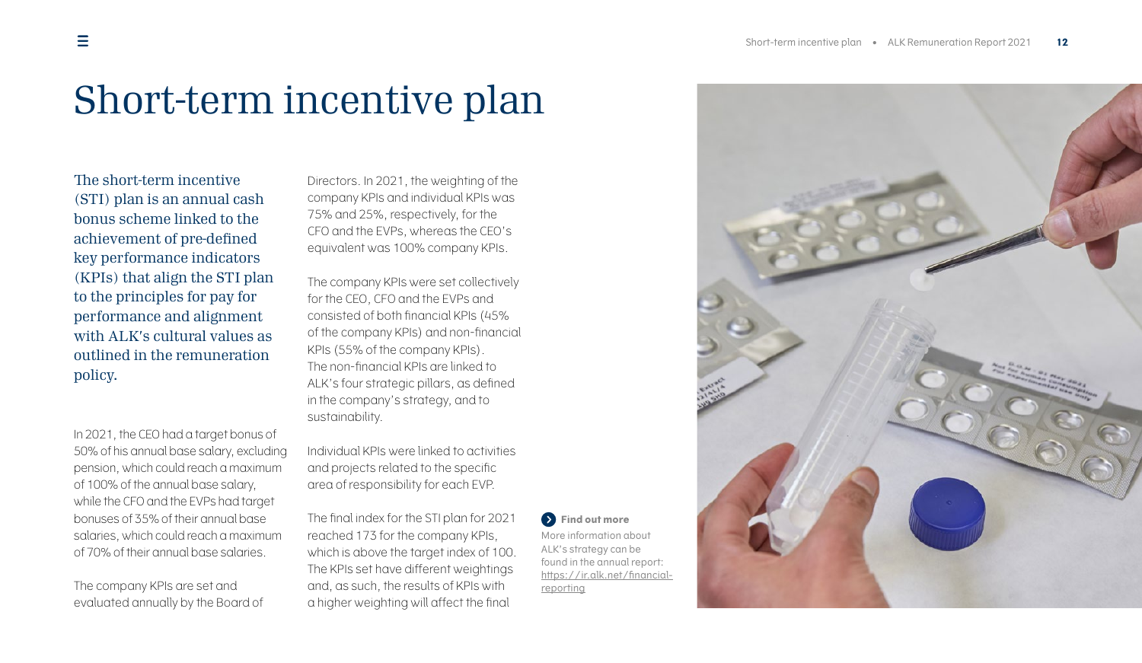### Short-term incentive plan

The short-term incentive (STI) plan is an annual cash bonus scheme linked to the achievement of pre-defined key performance indicators (KPIs) that align the STI plan to the principles for pay for performance and alignment with ALK's cultural values as outlined in the remuneration policy.

In 2021, the CEO had a target bonus of 50% of his annual base salary, excluding pension, which could reach a maximum of 100% of the annual base salary, while the CFO and the EVPs had target bonuses of 35% of their annual base salaries, which could reach a maximum of 70% of their annual base salaries.

The company KPIs are set and evaluated annually by the Board of <span id="page-11-0"></span>Directors. In 2021, the weighting of the company KPIs and individual KPIs was 75% and 25%, respectively, for the CFO and the EVPs, whereas the CEO's equivalent was 100% company KPIs.

The company KPIs were set collectively for the CEO, CFO and the EVPs and consisted of both financial KPIs (45% of the company KPIs) and non-financial KPIs (55% of the company KPIs). The non-financial KPIs are linked to ALK's four strategic pillars, as defined in the company's strategy, and to sustainability.

Individual KPIs were linked to activities and projects related to the specific area of responsibility for each EVP.

The final index for the STI plan for 2021 reached 173 for the company KPIs, which is above the target index of 100. The KPIs set have different weightings and, as such, the results of KPIs with a higher weighting will affect the final

**Find out more** More information about ALK's strategy can be found in the annual report: [https://ir.alk.net/financial](https://ir.alk.net/financial-reporting)[reporting](https://ir.alk.net/financial-reporting)

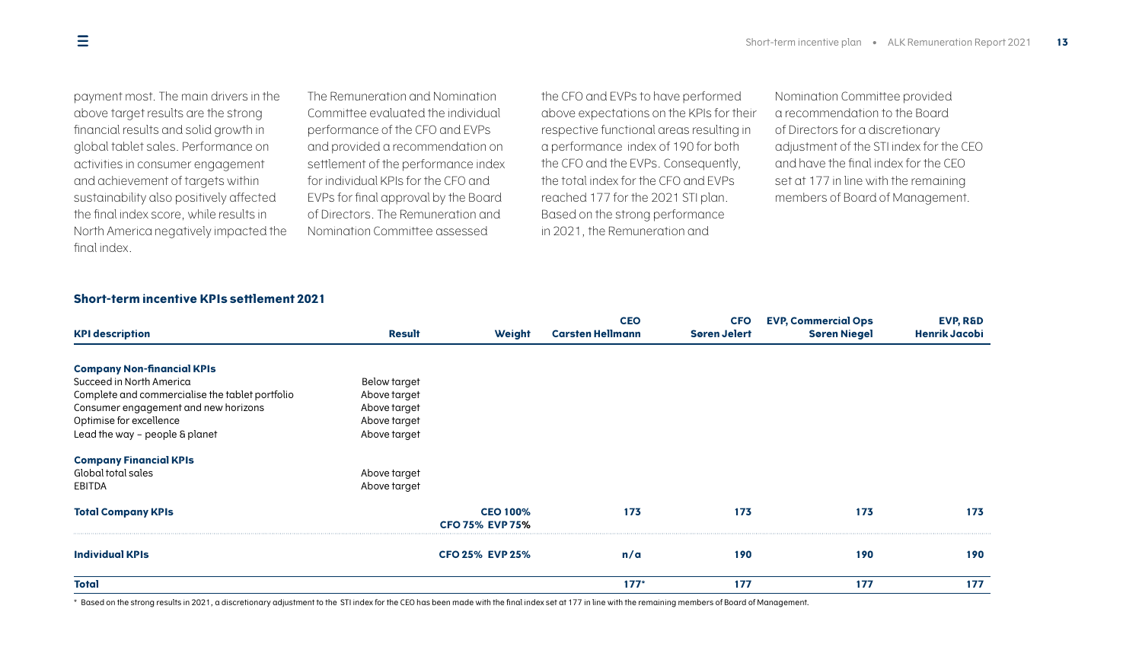payment most. The main drivers in the above target results are the strong financial results and solid growth in global tablet sales. Performance on activities in consumer engagement and achievement of targets within sustainability also positively affected the final index score, while results in North America negatively impacted the final index.

The Remuneration and Nomination Committee evaluated the individual performance of the CFO and EVPs and provided a recommendation on settlement of the performance index for individual KPIs for the CFO and EVPs for final approval by the Board of Directors. The Remuneration and Nomination Committee assessed

the CFO and EVPs to have performed above expectations on the KPIs for their respective functional areas resulting in a performance index of 190 for both the CFO and the EVPs. Consequently, the total index for the CFO and EVPs reached 177 for the 2021 STI plan. Based on the strong performance in 2021, the Remuneration and

Nomination Committee provided a recommendation to the Board of Directors for a discretionary adjustment of the STI index for the CEO and have the final index for the CEO set at 177 in line with the remaining members of Board of Management.

### **Short-term incentive KPIs settlement 2021**

| <b>KPI description</b>                          | <b>Result</b> | Weight                                    | <b>CEO</b><br><b>Carsten Hellmann</b> | <b>CFO</b><br><b>Søren Jelert</b> | <b>EVP, Commercial Ops</b><br><b>Søren Niegel</b> | EVP, R&D<br><b>Henrik Jacobi</b> |
|-------------------------------------------------|---------------|-------------------------------------------|---------------------------------------|-----------------------------------|---------------------------------------------------|----------------------------------|
|                                                 |               |                                           |                                       |                                   |                                                   |                                  |
| <b>Company Non-financial KPIs</b>               |               |                                           |                                       |                                   |                                                   |                                  |
| Succeed in North America                        | Below target  |                                           |                                       |                                   |                                                   |                                  |
| Complete and commercialise the tablet portfolio | Above target  |                                           |                                       |                                   |                                                   |                                  |
| Consumer engagement and new horizons            | Above target  |                                           |                                       |                                   |                                                   |                                  |
| Optimise for excellence                         | Above target  |                                           |                                       |                                   |                                                   |                                  |
| Lead the way - people & planet                  | Above target  |                                           |                                       |                                   |                                                   |                                  |
| <b>Company Financial KPIs</b>                   |               |                                           |                                       |                                   |                                                   |                                  |
| Global total sales                              | Above target  |                                           |                                       |                                   |                                                   |                                  |
| EBITDA                                          | Above target  |                                           |                                       |                                   |                                                   |                                  |
| <b>Total Company KPIs</b>                       |               | <b>CEO 100%</b><br><b>CFO 75% EVP 75%</b> | 173                                   | 173                               | 173                                               | 173                              |
| <b>Individual KPIs</b>                          |               | <b>CFO 25% EVP 25%</b>                    | n/a                                   | 190                               | 190                                               | 190                              |
| <b>Total</b>                                    |               |                                           | $177*$                                | 177                               | 177                                               | 177                              |

\* Based on the strong results in 2021, a discretionary adjustment to the STI index for the CEO has been made with the final index set at 177 in line with the remaining members of Board of Management.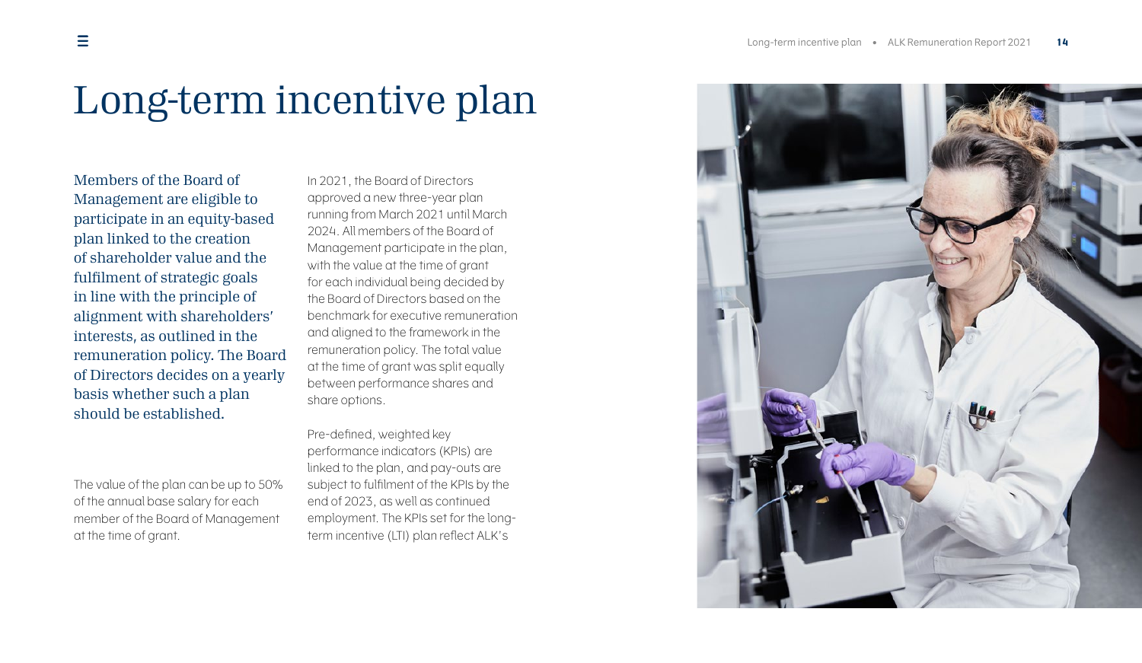# Long-term incentive plan

Members of the Board of Management are eligible to participate in an equity-based plan linked to the creation of shareholder value and the fulfilment of strategic goals in line with the principle of alignment with shareholders' interests, as outlined in the remuneration policy. The Board of Directors decides on a yearly basis whether such a plan should be established.

The value of the plan can be up to 50% of the annual base salary for each member of the Board of Management at the time of grant.

<span id="page-13-0"></span>In 2021, the Board of Directors approved a new three-year plan running from March 2021 until March 2024. All members of the Board of Management participate in the plan, with the value at the time of grant for each individual being decided by the Board of Directors based on the benchmark for executive remuneration and aligned to the framework in the remuneration policy. The total value at the time of grant was split equally between performance shares and share options.

Pre-defined, weighted key performance indicators (KPIs) are linked to the plan, and pay-outs are subject to fulfilment of the KPIs by the end of 2023, as well as continued employment. The KPIs set for the longterm incentive (LTI) plan reflect ALK's

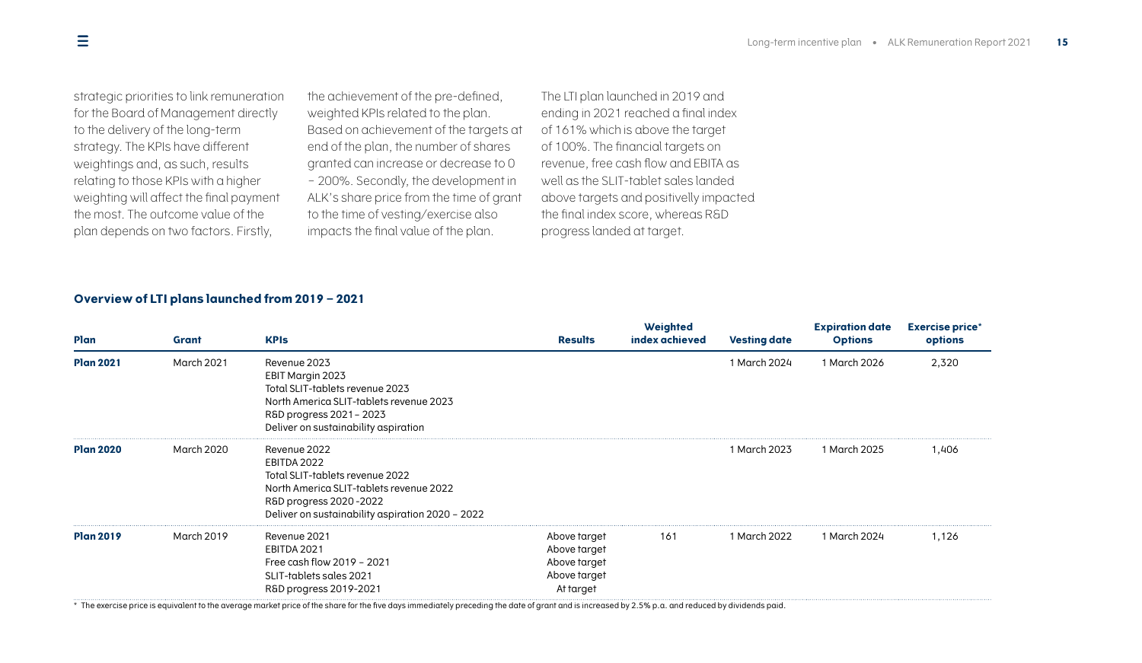strategic priorities to link remuneration for the Board of Management directly to the delivery of the long-term strategy. The KPIs have different weightings and, as such, results relating to those KPIs with a higher weighting will affect the final payment the most. The outcome value of the plan depends on two factors. Firstly,

the achievement of the pre-defined, weighted KPIs related to the plan. Based on achievement of the targets at end of the plan, the number of shares granted can increase or decrease to 0 – 200%. Secondly, the development in ALK's share price from the time of grant to the time of vesting/exercise also impacts the final value of the plan.

The LTI plan launched in 2019 and ending in 2021 reached a final index of 161% which is above the target of 100%. The financial targets on revenue, free cash flow and EBITA as well as the SLIT-tablet sales landed above targets and positivelly impacted the final index score, whereas R&D progress landed at target.

### **Overview of LTI plans launched from 2019 – 2021**

| Plan             | Grant      | <b>KPIs</b>                                                                                                                                                                             | <b>Results</b>                                                            | Weighted<br>index achieved | <b>Vesting date</b> | <b>Expiration date</b><br><b>Options</b> | <b>Exercise price*</b><br>options |
|------------------|------------|-----------------------------------------------------------------------------------------------------------------------------------------------------------------------------------------|---------------------------------------------------------------------------|----------------------------|---------------------|------------------------------------------|-----------------------------------|
| <b>Plan 2021</b> | March 2021 | Revenue 2023<br>EBIT Margin 2023<br>Total SLIT-tablets revenue 2023<br>North America SLIT-tablets revenue 2023<br>R&D progress 2021 - 2023<br>Deliver on sustainability aspiration      |                                                                           |                            | 1 March 2024        | 1 March 2026                             | 2,320                             |
| <b>Plan 2020</b> | March 2020 | Revenue 2022<br>EBITDA 2022<br>Total SLIT-tablets revenue 2022<br>North America SLIT-tablets revenue 2022<br>R&D progress 2020-2022<br>Deliver on sustainability aspiration 2020 - 2022 |                                                                           |                            | 1 March 2023        | 1 March 2025                             | 1,406                             |
| <b>Plan 2019</b> | March 2019 | Revenue 2021<br>EBITDA 2021<br>Free cash flow 2019 - 2021<br>SLIT-tablets sales 2021<br>R&D progress 2019-2021                                                                          | Above target<br>Above target<br>Above target<br>Above target<br>At target | 161                        | 1 March 2022        | 1 March 2024                             | 1,126                             |

\* The exercise price is equivalent to the average market price of the share for the five days immediately preceding the date of grant and is increased by 2.5% p.a. and reduced by dividends paid.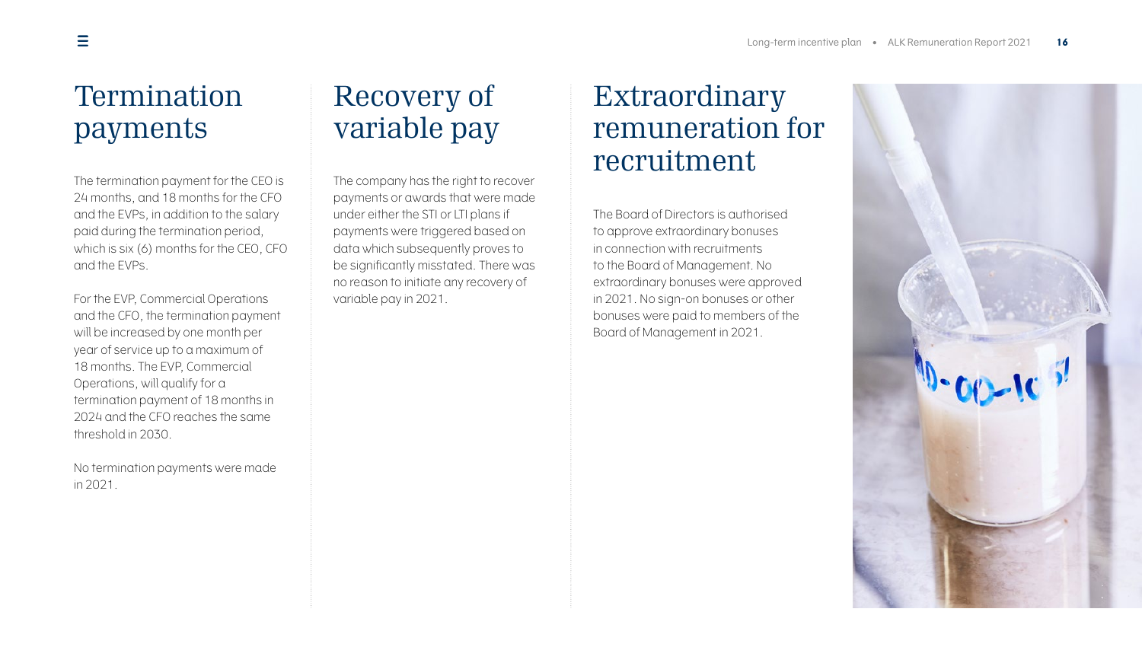### Termination payments

The termination payment for the CEO is 24 months, and 18 months for the CFO and the EVPs, in addition to the salary paid during the termination period, which is six (6) months for the CEO, CFO and the EVPs.

For the EVP, Commercial Operations and the CFO, the termination payment will be increased by one month per year of service up to a maximum of 18 months. The EVP, Commercial Operations, will qualify for a termination payment of 18 months in 2024 and the CFO reaches the same threshold in 2030.

No termination payments were made in 2021.

### <span id="page-15-0"></span>Recovery of variable pay

The company has the right to recover payments or awards that were made under either the STI or LTI plans if payments were triggered based on data which subsequently proves to be significantly misstated. There was no reason to initiate any recovery of variable pay in 2021.

### <span id="page-15-1"></span>Extraordinary remuneration for recruitment

The Board of Directors is authorised to approve extraordinary bonuses in connection with recruitments to the Board of Management. No extraordinary bonuses were approved in 2021. No sign-on bonuses or other bonuses were paid to members of the Board of Management in 2021.

<span id="page-15-2"></span>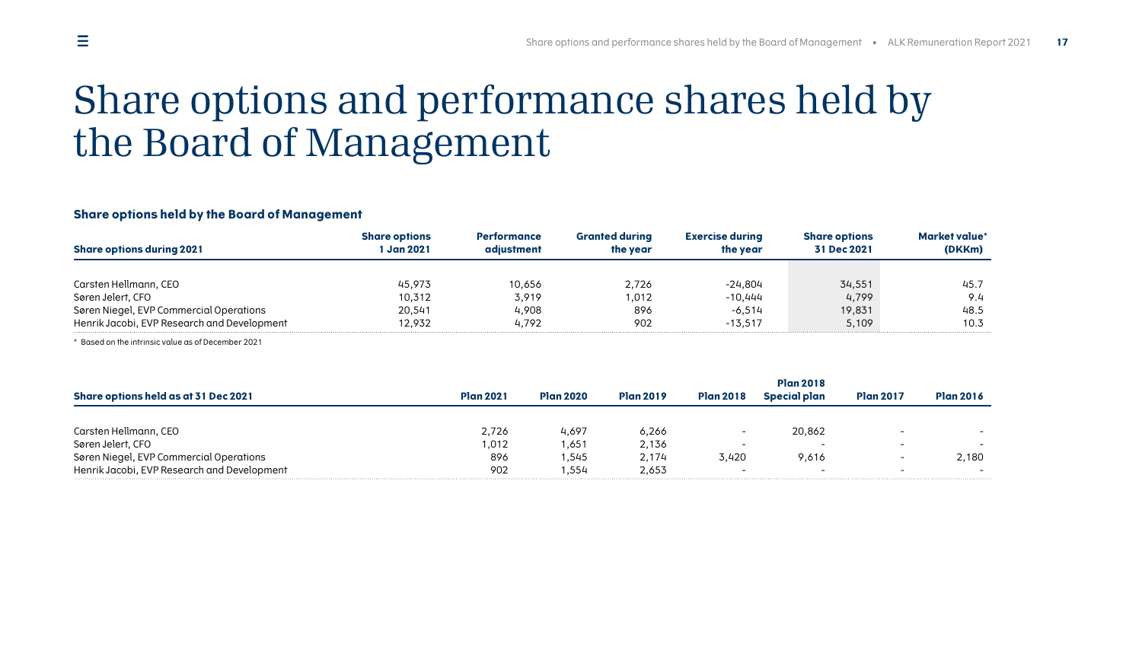## <span id="page-16-0"></span>Share options and performance shares held by the Board of Management

### **Share options held by the Board of Management**

| <b>Share options</b><br>Jan 2021 | <b>Performance</b><br>adiustment | <b>Granted durina</b><br>the vear | Exercise during<br>the vear | <b>Share options</b><br>31 Dec 2021 | Market value'<br>(DKKm) |
|----------------------------------|----------------------------------|-----------------------------------|-----------------------------|-------------------------------------|-------------------------|
|                                  |                                  |                                   |                             |                                     |                         |
| 45.973                           | 10.656                           | 2.726                             | -24.804                     | 34,551                              | 45.                     |
| 10,312                           | 3.919                            | .012                              | $-10.444$                   | 4.799                               | 9.4                     |
| 20.541                           | 4.908                            | 896                               | $-6.514$                    | 19,831                              | 48.5                    |
| 12.932                           | 4.792                            | 902                               | $-13.517$                   | 5.109                               | 10.3                    |
|                                  |                                  |                                   |                             |                                     |                         |

\* Based on the intrinsic value as of December 2021

|                                             |                  |           |                  |                          | <b>Plan 2018</b> |                          |                  |  |
|---------------------------------------------|------------------|-----------|------------------|--------------------------|------------------|--------------------------|------------------|--|
| Share options held as at 31 Dec 2021        | <b>Plan 2021</b> | Plan 2020 | <b>Plan 2019</b> | <b>Plan 2018</b>         | Special plan     | <b>Plan 2017</b>         | <b>Plan 2016</b> |  |
|                                             |                  |           |                  |                          |                  |                          |                  |  |
| Carsten Hellmann, CEO                       | 2.726            | 4.697     | 6,266            |                          | 20.862           | $\overline{\phantom{0}}$ |                  |  |
| Søren Jelert, CFO                           | .012             | 1.651     | 2.136            | $\overline{\phantom{a}}$ |                  | -                        |                  |  |
| Søren Niegel, EVP Commercial Operations     | 896              | 1.545     | 2.174            | 3.420                    | 9.616            |                          | 2.180            |  |
| Henrik Jacobi, EVP Research and Development | 902              | .554      | 2.653            | $\overline{\phantom{a}}$ |                  | -                        |                  |  |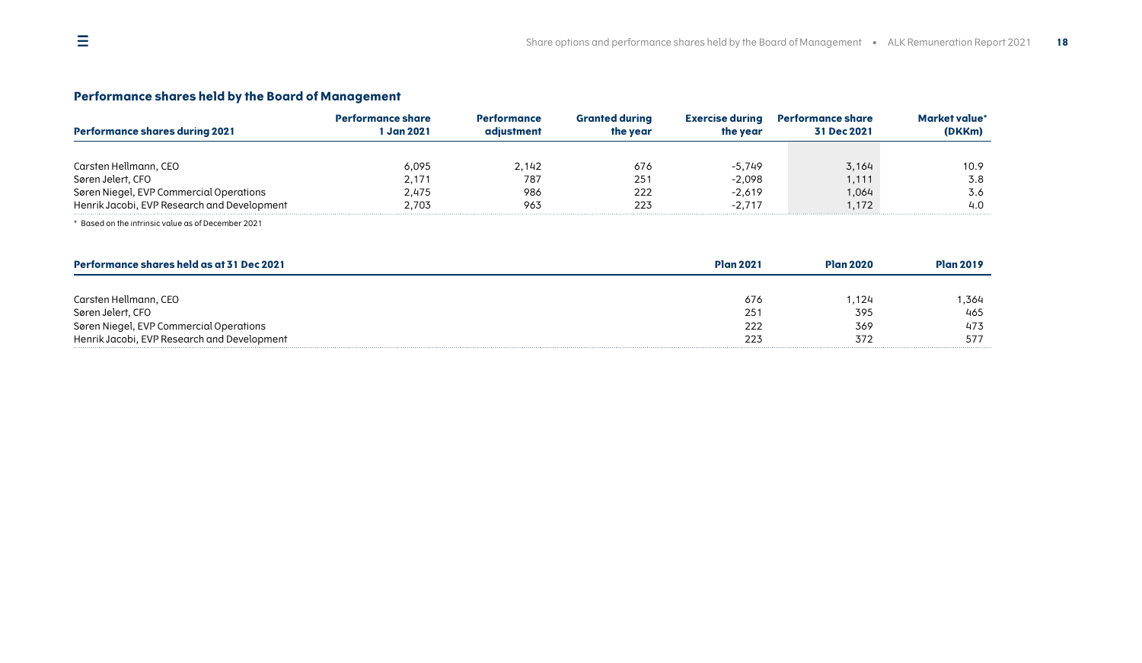### **Performance shares held by the Board of Management**

| Performance shares during 2021              | ormance share<br><b>Jan 2021</b> | <b>Performance</b><br>adiustment | <b>Granted during</b><br>the year | <b>Exercise during</b><br>the vear | <b>Performance share</b><br>31 Dec 2021 | Market value<br>(DKKm) |
|---------------------------------------------|----------------------------------|----------------------------------|-----------------------------------|------------------------------------|-----------------------------------------|------------------------|
|                                             |                                  |                                  |                                   |                                    |                                         |                        |
| Carsten Hellmann, CEO                       | 6,095                            | 2.142                            | 676                               | $-5.749$                           | 3,164                                   | 10.9                   |
| Søren Jelert, CFO                           | 2.171                            | 787                              | 251                               | $-2,098$                           | 1.111                                   | 3.8                    |
| Søren Niegel, EVP Commercial Operations     | 2.475                            | 986                              | 222                               | $-2.619$                           | 1.064                                   | 3.6                    |
| Henrik Jacobi, EVP Research and Development | 2.703                            | 963                              | 223                               | $-2.717$                           | 1.172                                   | 4.0                    |

\* Based on the intrinsic value as of December 2021

| Performance shares held as at 31 Dec 2021   | <b>Plan 2021</b> | <b>Plan 2020</b> | <b>Plan 2019</b> |
|---------------------------------------------|------------------|------------------|------------------|
|                                             |                  |                  |                  |
| Carsten Hellmann, CEO                       | 676              | 1.124            | .364             |
| Søren Jelert, CFO                           | 251              | 395              | 465              |
| Søren Niegel, EVP Commercial Operations     | 222              | 369              | 473              |
| Henrik Jacobi, EVP Research and Development | 223              | 372              | 577              |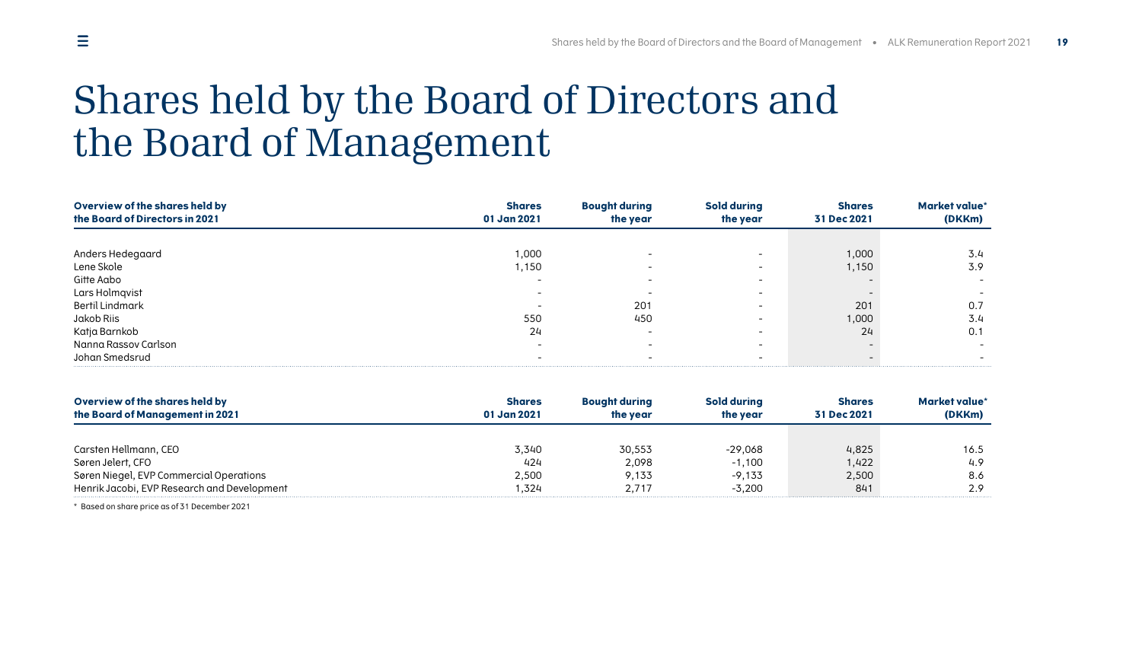### <span id="page-18-0"></span> $\equiv$

### Shares held by the Board of Directors and the Board of Management

| Overview of the shares held by<br>the Board of Directors in 2021 | <b>Shares</b><br>01 Jan 2021 | <b>Bought during</b><br>the year | <b>Sold during</b><br>the year | <b>Shares</b><br>31 Dec 2021 | Market value*<br>(DKKm) |
|------------------------------------------------------------------|------------------------------|----------------------------------|--------------------------------|------------------------------|-------------------------|
|                                                                  |                              |                                  |                                |                              |                         |
| Anders Hedegaard                                                 | 000, ۱                       |                                  |                                | 1,000                        | 3.4                     |
| Lene Skole                                                       | 1,150                        |                                  |                                | 1,150                        | 3.9                     |
| Gitte Aabo                                                       |                              |                                  |                                |                              |                         |
| Lars Holmqvist                                                   |                              |                                  |                                |                              |                         |
| <b>Bertil Lindmark</b>                                           |                              | 201                              |                                | 201                          | 0.7                     |
| Jakob Riis                                                       | 550                          | 450                              |                                | 1,000                        | 3.4                     |
| Katja Barnkob                                                    | 24                           |                                  |                                | 24                           | 0.1                     |
| Nanna Rassov Carlson                                             |                              |                                  |                                |                              |                         |
| Johan Smedsrud                                                   |                              |                                  |                                |                              |                         |

| Overview of the shares held by              | <b>Shares</b> | <b>Bought during</b> | Sold during | <b>Shares</b> | Market value* |
|---------------------------------------------|---------------|----------------------|-------------|---------------|---------------|
| the Board of Management in 2021             | 01 Jan 2021   | the year             | the year    | 31 Dec 2021   | (DKKm)        |
|                                             |               |                      |             |               |               |
| Carsten Hellmann, CEO                       | 3,340         | 30,553               | $-29.068$   | 4,825         | 16.5          |
| Søren Jelert, CFO                           | 424           | 2.098                | $-1.100$    | 1.422         | 4.9           |
| Søren Niegel, EVP Commercial Operations     | 2,500         | 9.133                | $-9.133$    | 2,500         | 8.6           |
| Henrik Jacobi, EVP Research and Development | .324          | 2.717                | $-3.200$    | 841           | 2.9           |

\* Based on share price as of 31 December 2021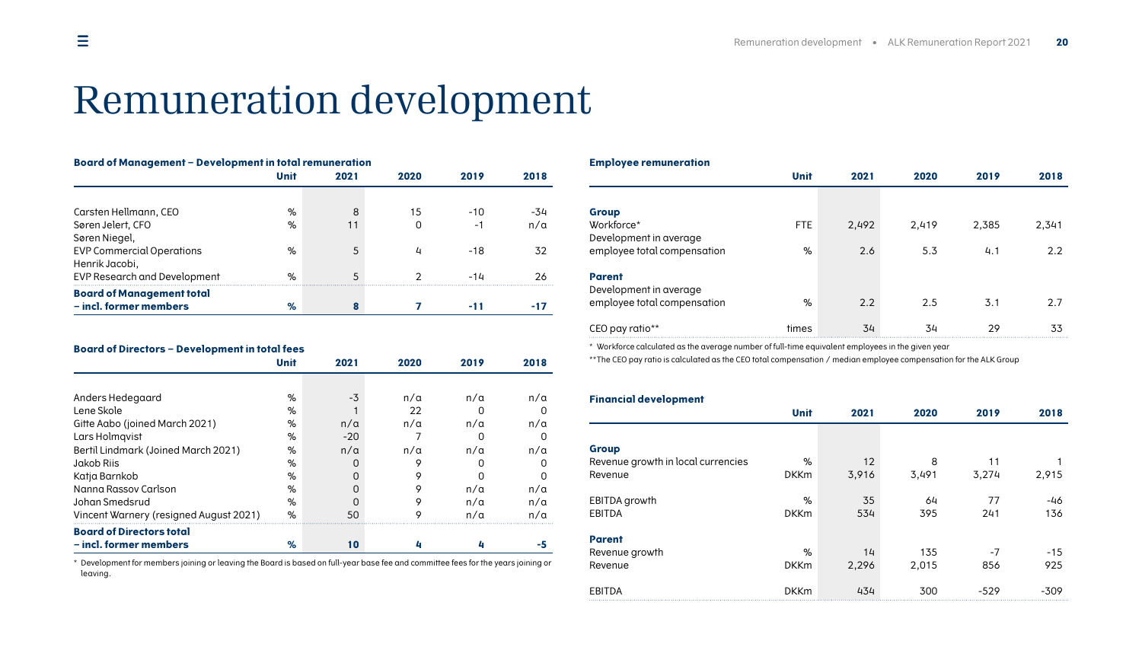### Remuneration development

| <b>Board of Management - Development in total remuneration</b> |             |      |      |       |            |
|----------------------------------------------------------------|-------------|------|------|-------|------------|
|                                                                | <b>Unit</b> | 2021 | 2020 | 2019  | 2018       |
|                                                                |             |      |      |       |            |
| Carsten Hellmann, CEO                                          | %           | 8    | 15   | $-10$ | -34        |
| Søren Jelert, CFO                                              | %           | 11   | O    | -1    | $n/\alpha$ |
| Søren Niegel,                                                  |             |      |      |       |            |
| <b>EVP Commercial Operations</b>                               | $\%$        | 5    | 4    | -18   | 32         |
| Henrik Jacobi,                                                 |             |      |      |       |            |
| EVP Research and Development                                   | $\%$        | 5    |      | -14   | 26         |
| <b>Board of Management total</b>                               |             |      |      |       |            |
| - incl. former members                                         | %           |      |      | -11   |            |

#### **Board of Directors – Development in total fees**

|                                        | Unit | 2021       | 2020       | 2019       | 2018         |
|----------------------------------------|------|------------|------------|------------|--------------|
|                                        |      |            |            |            |              |
| Anders Hedegaard                       | %    | $-3$       | $n/\alpha$ | $n/\alpha$ | $n/\alpha$   |
| Lene Skole                             | %    |            | 22         |            | O            |
| Gitte Aabo (joined March 2021)         | %    | $n/\alpha$ | $n/\alpha$ | $n/\alpha$ | $n/\alpha$   |
| Lars Holmqvist                         | %    | $-20$      |            |            | O            |
| Bertil Lindmark (Joined March 2021)    | %    | $n/\alpha$ | $n/\alpha$ | $n/\alpha$ | $n/\alpha$   |
| Jakob Riis                             | %    | O          | 9          |            | n            |
| Katja Barnkob                          | %    | O          | 9          |            | <sup>0</sup> |
| Nanna Rassov Carlson                   | %    | U          | 9          | n/a        | $n/\alpha$   |
| Johan Smedsrud                         | %    | O          | 9          | $n/\alpha$ | $n/\alpha$   |
| Vincent Warnery (resigned August 2021) | %    | 50         |            | $n/\alpha$ | $n/\alpha$   |
| <b>Board of Directors total</b>        |      |            |            |            |              |
| - incl. former members                 | %    | 10         |            |            |              |

\* Development for members joining or leaving the Board is based on full-year base fee and committee fees for the years joining or leaving.

#### <span id="page-19-0"></span>**Employee remuneration**

|                             | <b>Unit</b> | 2021  | 2020  | 2019  | 2018  |
|-----------------------------|-------------|-------|-------|-------|-------|
|                             |             |       |       |       |       |
| Group                       |             |       |       |       |       |
| Workforce*                  | <b>FTE</b>  | 2,492 | 2,419 | 2,385 | 2,341 |
| Development in average      |             |       |       |       |       |
| employee total compensation | %           | 2.6   | 5.3   | 4.1   | 2.2   |
| <b>Parent</b>               |             |       |       |       |       |
| Development in average      |             |       |       |       |       |
| employee total compensation | %           | 2.2   | 2.5   | 3.1   | 2.7   |
| CEO pay ratio**             | times       | 34    | 34    | 29    | 33    |

\* Workforce calculated as the average number of full-time equivalent employees in the given year

\*\* The CEO pay ratio is calculated as the CEO total compensation / median employee compensation for the ALK Group

#### **Financial development**

|                                    | <b>Unit</b> | 2021  | 2020  | 2019   | 2018   |
|------------------------------------|-------------|-------|-------|--------|--------|
|                                    |             |       |       |        |        |
| Group                              |             |       |       |        |        |
| Revenue growth in local currencies | %           | 12    | 8     | 11     |        |
| Revenue                            | <b>DKKm</b> | 3,916 | 3,491 | 3,274  | 2,915  |
| EBITDA growth                      | %           | 35    | 64    | 77     | $-46$  |
| <b>EBITDA</b>                      | <b>DKKm</b> | 534   | 395   | 241    | 136    |
| <b>Parent</b>                      |             |       |       |        |        |
| Revenue growth                     | %           | 14    | 135   | $-7$   | $-15$  |
| Revenue                            | <b>DKKm</b> | 2,296 | 2,015 | 856    | 925    |
| <b>EBITDA</b>                      | <b>DKKm</b> | 434   | 300   | $-529$ | $-309$ |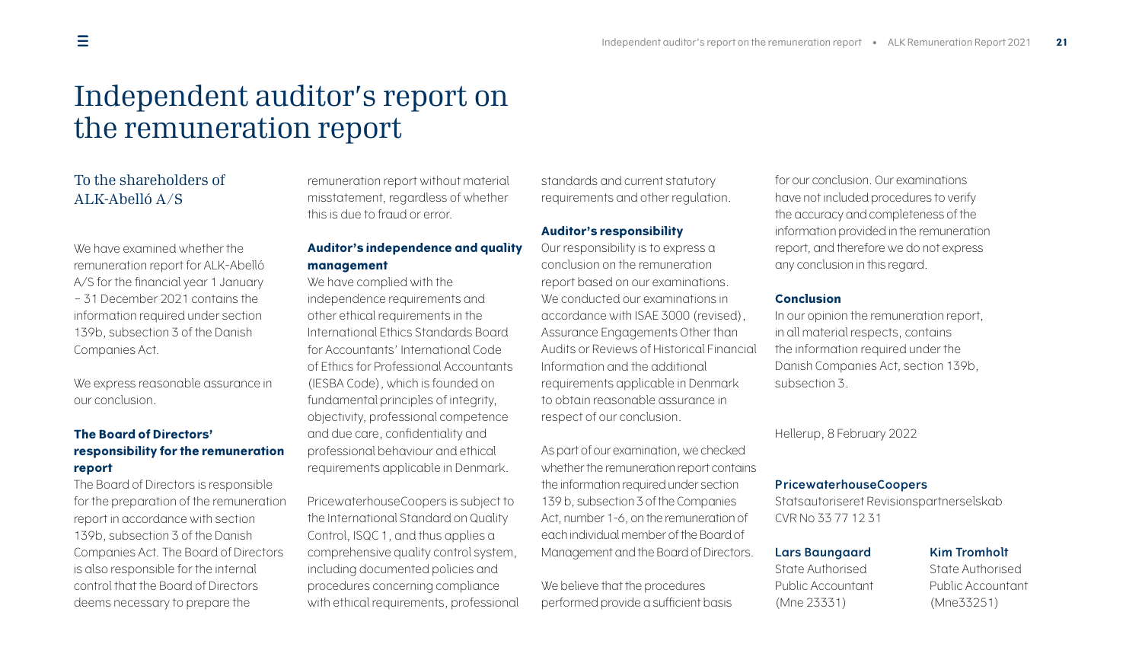### Independent auditor's report on the remuneration report

### To the shareholders of ALK-Abelló A/S

We have examined whether the remuneration report for ALK-Abelló A/S for the financial year 1 January – 31 December 2021 contains the information required under section 139b, subsection 3 of the Danish Companies Act.

We express reasonable assurance in our conclusion.

### **The Board of Directors' responsibility for the remuneration report**

The Board of Directors is responsible for the preparation of the remuneration report in accordance with section 139b, subsection 3 of the Danish Companies Act. The Board of Directors is also responsible for the internal control that the Board of Directors deems necessary to prepare the

remuneration report without material misstatement, regardless of whether this is due to fraud or error.

### **Auditor's independence and quality management**

We have complied with the

independence requirements and other ethical requirements in the International Ethics Standards Board for Accountants' International Code of Ethics for Professional Accountants (IESBA Code), which is founded on fundamental principles of integrity, objectivity, professional competence and due care, confidentiality and professional behaviour and ethical requirements applicable in Denmark.

PricewaterhouseCoopers is subject to the International Standard on Quality Control, ISQC 1, and thus applies a comprehensive quality control system, including documented policies and procedures concerning compliance with ethical requirements, professional

<span id="page-20-0"></span>standards and current statutory requirements and other regulation.

### **Auditor's responsibility**

Our responsibility is to express a conclusion on the remuneration report based on our examinations. We conducted our examinations in accordance with ISAE 3000 (revised), Assurance Engagements Other than Audits or Reviews of Historical Financial Information and the additional requirements applicable in Denmark to obtain reasonable assurance in respect of our conclusion.

As part of our examination, we checked whether the remuneration report contains the information required under section 139 b, subsection 3 of the Companies Act, number 1-6, on the remuneration of each individual member of the Board of Management and the Board of Directors.

We believe that the procedures performed provide a sufficient basis

for our conclusion. Our examinations have not included procedures to verify the accuracy and completeness of the information provided in the remuneration report, and therefore we do not express any conclusion in this regard.

### **Conclusion**

In our opinion the remuneration report, in all material respects, contains the information required under the Danish Companies Act, section 139b, subsection 3.

Hellerup, 8 February 2022

### **PricewaterhouseCoopers**

Statsautoriseret Revisionspartnerselskab CVR No 33 77 12 31

### **Lars Baungaard Kim Tromholt**

State Authorised State Authorised Public Accountant Public Accountant (Mne 23331) (Mne33251)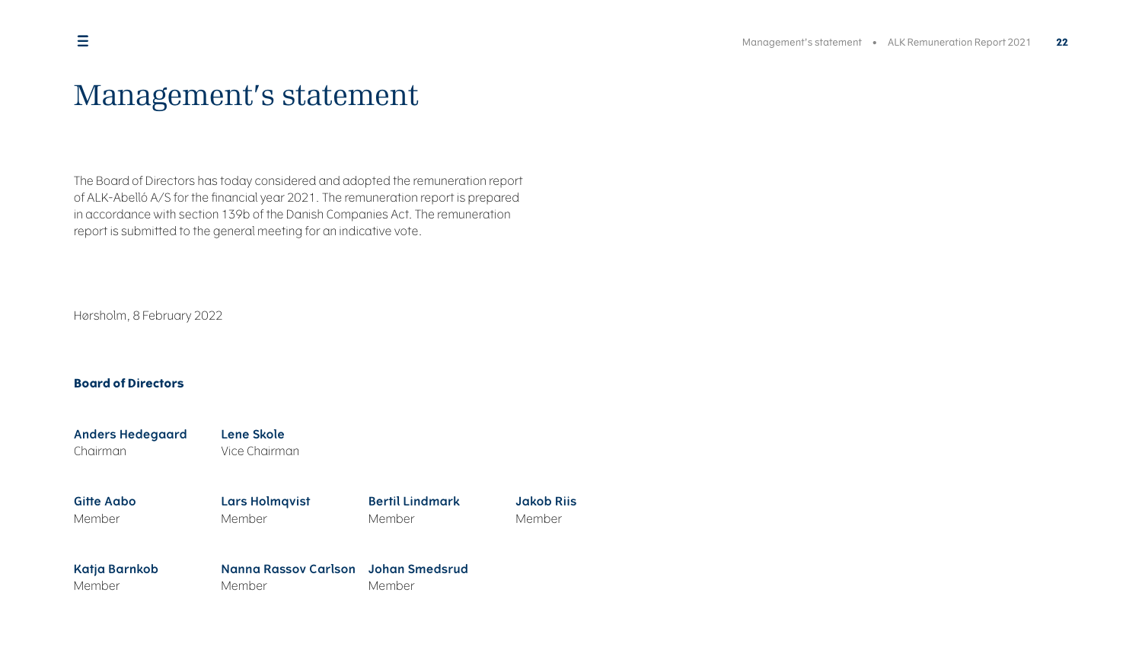### <span id="page-21-0"></span>Management's statement

The Board of Directors has today considered and adopted the remuneration report of ALK-Abelló A/S for the financial year 2021. The remuneration report is prepared in accordance with section 139b of the Danish Companies Act. The remuneration report is submitted to the general meeting for an indicative vote.

Hørsholm, 8 February 2022

### **Board of Directors**

| <b>Anders Hedegaard</b><br>Chairman | Lene Skole<br>Vice Chairman |                        |                   |
|-------------------------------------|-----------------------------|------------------------|-------------------|
| Gitte Aabo                          | Lars Holmqvist              | <b>Bertil Lindmark</b> | <b>Jakob Rijs</b> |
| Member                              | Member                      | Member                 | Member            |
| Katja Barnkob                       | Nanna Rassov Carlson        | Johan Smedsrud         |                   |
| Member                              | Member                      | Member                 |                   |